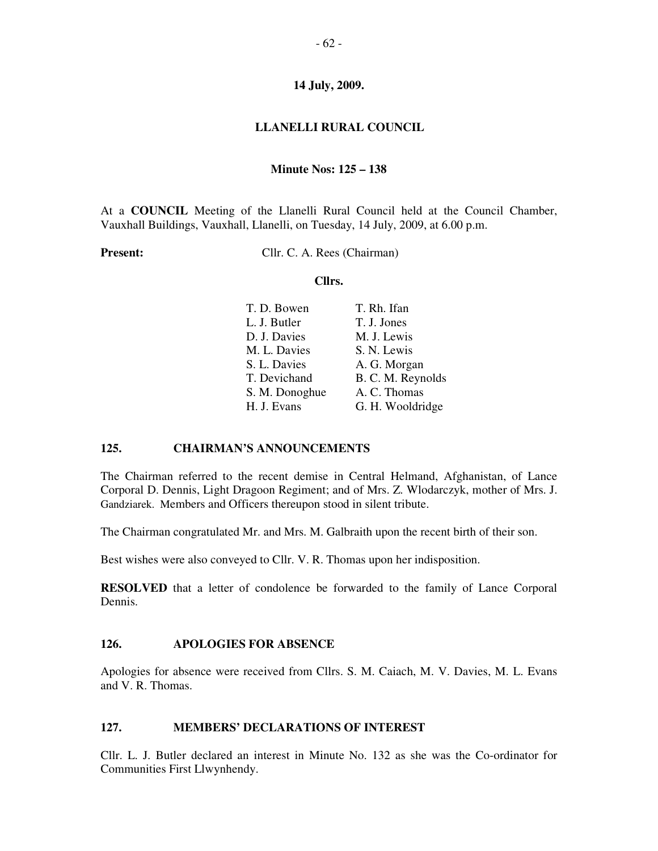## **LLANELLI RURAL COUNCIL**

#### **Minute Nos: 125 – 138**

At a **COUNCIL** Meeting of the Llanelli Rural Council held at the Council Chamber, Vauxhall Buildings, Vauxhall, Llanelli, on Tuesday, 14 July, 2009, at 6.00 p.m.

**Present:** Cllr. C. A. Rees (Chairman)

#### **Cllrs.**

| T. D. Bowen    | T. Rh. Ifan       |
|----------------|-------------------|
| L. J. Butler   | T. J. Jones       |
| D. J. Davies   | M. J. Lewis       |
| M. L. Davies   | S. N. Lewis       |
| S. L. Davies   | A. G. Morgan      |
| T. Devichand   | B. C. M. Reynolds |
| S. M. Donoghue | A. C. Thomas      |
| H. J. Evans    | G. H. Wooldridge  |

### **125. CHAIRMAN'S ANNOUNCEMENTS**

The Chairman referred to the recent demise in Central Helmand, Afghanistan, of Lance Corporal D. Dennis, Light Dragoon Regiment; and of Mrs. Z. Wlodarczyk, mother of Mrs. J. Gandziarek. Members and Officers thereupon stood in silent tribute.

The Chairman congratulated Mr. and Mrs. M. Galbraith upon the recent birth of their son.

Best wishes were also conveyed to Cllr. V. R. Thomas upon her indisposition.

**RESOLVED** that a letter of condolence be forwarded to the family of Lance Corporal Dennis.

### **126. APOLOGIES FOR ABSENCE**

Apologies for absence were received from Cllrs. S. M. Caiach, M. V. Davies, M. L. Evans and V. R. Thomas.

### **127. MEMBERS' DECLARATIONS OF INTEREST**

Cllr. L. J. Butler declared an interest in Minute No. 132 as she was the Co-ordinator for Communities First Llwynhendy.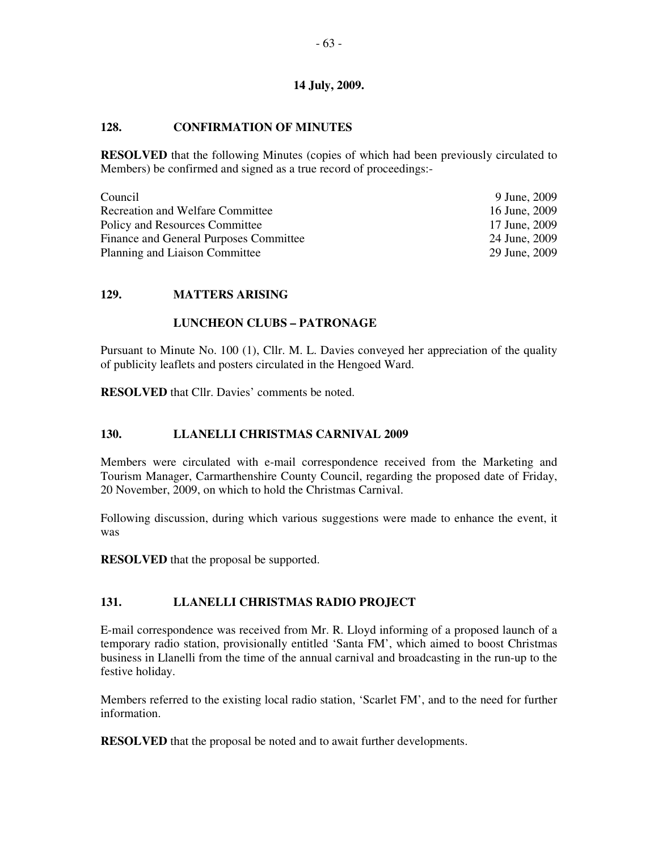## **128. CONFIRMATION OF MINUTES**

**RESOLVED** that the following Minutes (copies of which had been previously circulated to Members) be confirmed and signed as a true record of proceedings:-

| Council                                 | 9 June, 2009  |
|-----------------------------------------|---------------|
| <b>Recreation and Welfare Committee</b> | 16 June, 2009 |
| Policy and Resources Committee          | 17 June, 2009 |
| Finance and General Purposes Committee  | 24 June, 2009 |
| Planning and Liaison Committee          | 29 June, 2009 |

## **129. MATTERS ARISING**

## **LUNCHEON CLUBS – PATRONAGE**

Pursuant to Minute No. 100 (1), Cllr. M. L. Davies conveyed her appreciation of the quality of publicity leaflets and posters circulated in the Hengoed Ward.

**RESOLVED** that Cllr. Davies' comments be noted.

# **130. LLANELLI CHRISTMAS CARNIVAL 2009**

Members were circulated with e-mail correspondence received from the Marketing and Tourism Manager, Carmarthenshire County Council, regarding the proposed date of Friday, 20 November, 2009, on which to hold the Christmas Carnival.

Following discussion, during which various suggestions were made to enhance the event, it was

**RESOLVED** that the proposal be supported.

# **131. LLANELLI CHRISTMAS RADIO PROJECT**

E-mail correspondence was received from Mr. R. Lloyd informing of a proposed launch of a temporary radio station, provisionally entitled 'Santa FM', which aimed to boost Christmas business in Llanelli from the time of the annual carnival and broadcasting in the run-up to the festive holiday.

Members referred to the existing local radio station, 'Scarlet FM', and to the need for further information.

**RESOLVED** that the proposal be noted and to await further developments.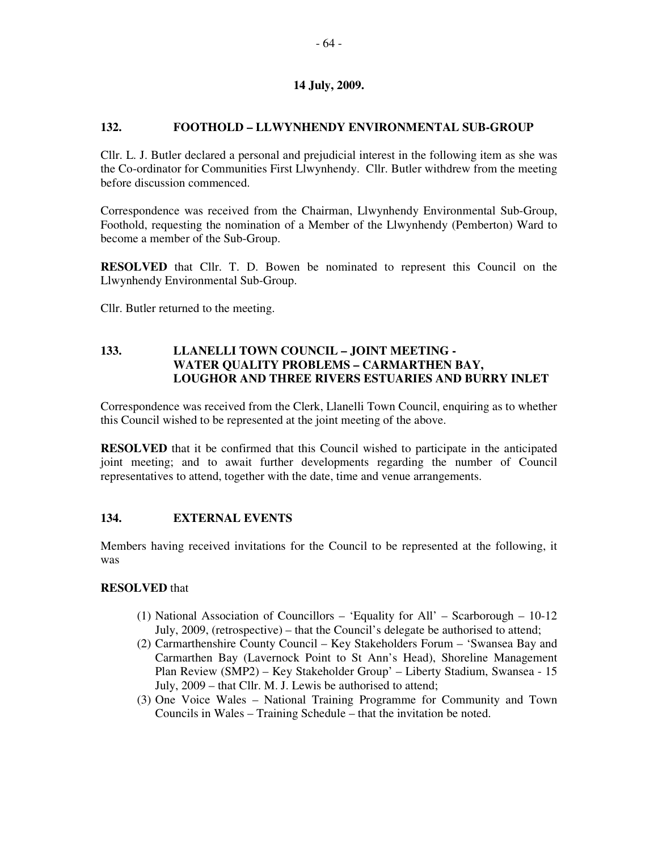## **132. FOOTHOLD – LLWYNHENDY ENVIRONMENTAL SUB-GROUP**

Cllr. L. J. Butler declared a personal and prejudicial interest in the following item as she was the Co-ordinator for Communities First Llwynhendy. Cllr. Butler withdrew from the meeting before discussion commenced.

Correspondence was received from the Chairman, Llwynhendy Environmental Sub-Group, Foothold, requesting the nomination of a Member of the Llwynhendy (Pemberton) Ward to become a member of the Sub-Group.

**RESOLVED** that Cllr. T. D. Bowen be nominated to represent this Council on the Llwynhendy Environmental Sub-Group.

Cllr. Butler returned to the meeting.

## **133. LLANELLI TOWN COUNCIL – JOINT MEETING - WATER QUALITY PROBLEMS – CARMARTHEN BAY, LOUGHOR AND THREE RIVERS ESTUARIES AND BURRY INLET**

Correspondence was received from the Clerk, Llanelli Town Council, enquiring as to whether this Council wished to be represented at the joint meeting of the above.

**RESOLVED** that it be confirmed that this Council wished to participate in the anticipated joint meeting; and to await further developments regarding the number of Council representatives to attend, together with the date, time and venue arrangements.

### **134. EXTERNAL EVENTS**

Members having received invitations for the Council to be represented at the following, it was

### **RESOLVED** that

- (1) National Association of Councillors 'Equality for All' Scarborough 10-12 July, 2009, (retrospective) – that the Council's delegate be authorised to attend;
- (2) Carmarthenshire County Council Key Stakeholders Forum 'Swansea Bay and Carmarthen Bay (Lavernock Point to St Ann's Head), Shoreline Management Plan Review (SMP2) – Key Stakeholder Group' – Liberty Stadium, Swansea - 15 July, 2009 – that Cllr. M. J. Lewis be authorised to attend;
- (3) One Voice Wales National Training Programme for Community and Town Councils in Wales – Training Schedule – that the invitation be noted.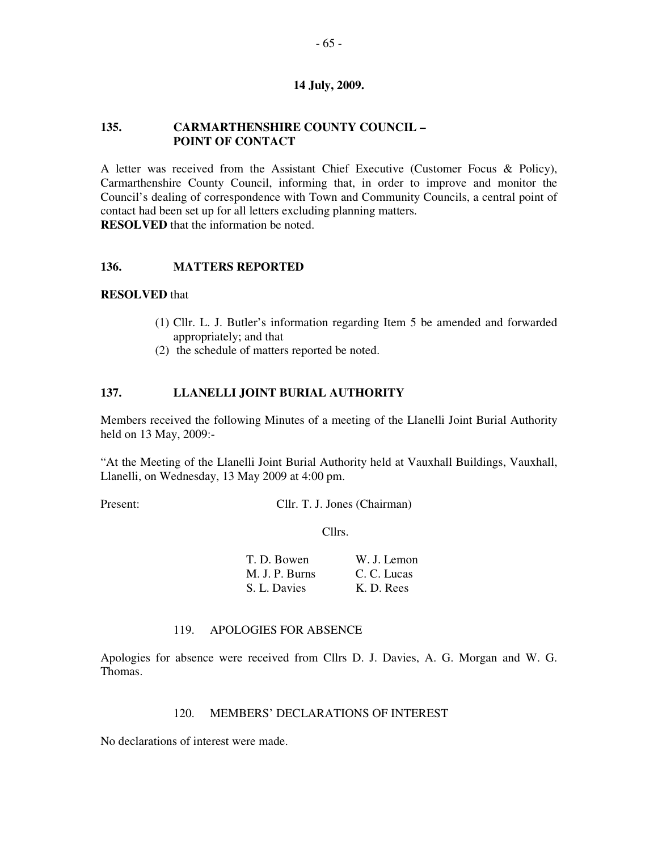### **135. CARMARTHENSHIRE COUNTY COUNCIL – POINT OF CONTACT**

A letter was received from the Assistant Chief Executive (Customer Focus & Policy), Carmarthenshire County Council, informing that, in order to improve and monitor the Council's dealing of correspondence with Town and Community Councils, a central point of contact had been set up for all letters excluding planning matters. **RESOLVED** that the information be noted.

### **136. MATTERS REPORTED**

#### **RESOLVED** that

- (1) Cllr. L. J. Butler's information regarding Item 5 be amended and forwarded appropriately; and that
- (2) the schedule of matters reported be noted.

### **137. LLANELLI JOINT BURIAL AUTHORITY**

Members received the following Minutes of a meeting of the Llanelli Joint Burial Authority held on 13 May, 2009:-

"At the Meeting of the Llanelli Joint Burial Authority held at Vauxhall Buildings, Vauxhall, Llanelli, on Wednesday, 13 May 2009 at 4:00 pm.

Present: **Cllr. T. J. Jones (Chairman)** 

Cllrs.

| T. D. Bowen    | W. J. Lemon |
|----------------|-------------|
| M. J. P. Burns | C. C. Lucas |
| S. L. Davies   | K. D. Rees  |

### 119. APOLOGIES FOR ABSENCE

Apologies for absence were received from Cllrs D. J. Davies, A. G. Morgan and W. G. Thomas.

### 120. MEMBERS' DECLARATIONS OF INTEREST

No declarations of interest were made.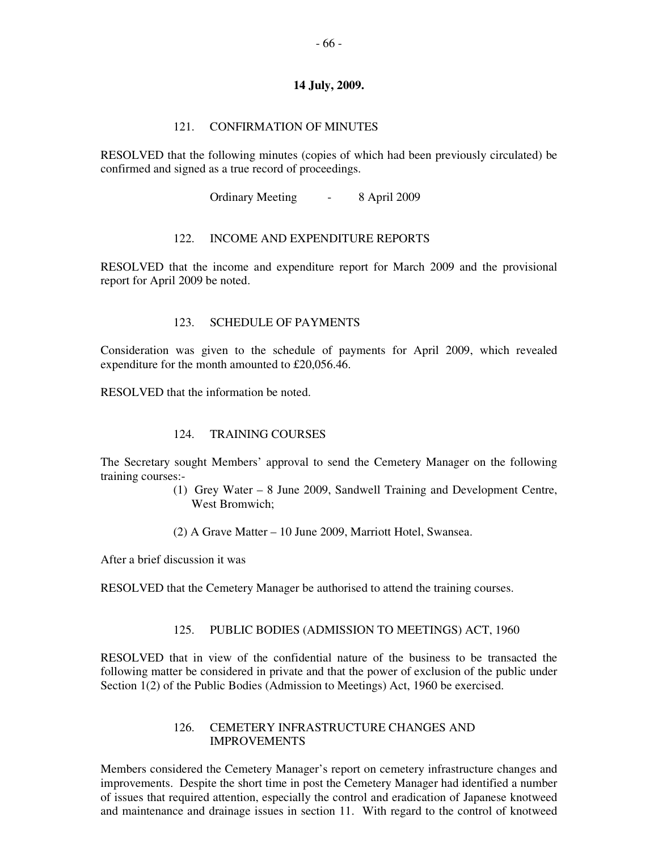#### 121. CONFIRMATION OF MINUTES

RESOLVED that the following minutes (copies of which had been previously circulated) be confirmed and signed as a true record of proceedings.

Ordinary Meeting - 8 April 2009

#### 122. INCOME AND EXPENDITURE REPORTS

RESOLVED that the income and expenditure report for March 2009 and the provisional report for April 2009 be noted.

#### 123. SCHEDULE OF PAYMENTS

Consideration was given to the schedule of payments for April 2009, which revealed expenditure for the month amounted to £20,056.46.

RESOLVED that the information be noted.

### 124. TRAINING COURSES

The Secretary sought Members' approval to send the Cemetery Manager on the following training courses:-

- (1) Grey Water 8 June 2009, Sandwell Training and Development Centre, West Bromwich:
- (2) A Grave Matter 10 June 2009, Marriott Hotel, Swansea.

After a brief discussion it was

RESOLVED that the Cemetery Manager be authorised to attend the training courses.

### 125. PUBLIC BODIES (ADMISSION TO MEETINGS) ACT, 1960

RESOLVED that in view of the confidential nature of the business to be transacted the following matter be considered in private and that the power of exclusion of the public under Section 1(2) of the Public Bodies (Admission to Meetings) Act, 1960 be exercised.

#### 126. CEMETERY INFRASTRUCTURE CHANGES AND IMPROVEMENTS

Members considered the Cemetery Manager's report on cemetery infrastructure changes and improvements. Despite the short time in post the Cemetery Manager had identified a number of issues that required attention, especially the control and eradication of Japanese knotweed and maintenance and drainage issues in section 11. With regard to the control of knotweed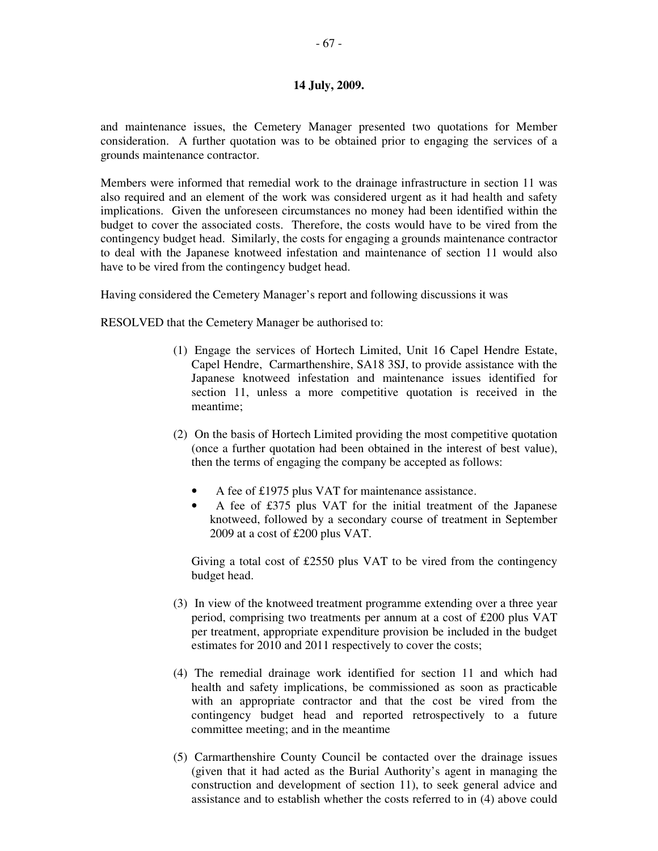and maintenance issues, the Cemetery Manager presented two quotations for Member consideration. A further quotation was to be obtained prior to engaging the services of a grounds maintenance contractor.

Members were informed that remedial work to the drainage infrastructure in section 11 was also required and an element of the work was considered urgent as it had health and safety implications. Given the unforeseen circumstances no money had been identified within the budget to cover the associated costs. Therefore, the costs would have to be vired from the contingency budget head. Similarly, the costs for engaging a grounds maintenance contractor to deal with the Japanese knotweed infestation and maintenance of section 11 would also have to be vired from the contingency budget head.

Having considered the Cemetery Manager's report and following discussions it was

RESOLVED that the Cemetery Manager be authorised to:

- (1) Engage the services of Hortech Limited, Unit 16 Capel Hendre Estate, Capel Hendre, Carmarthenshire, SA18 3SJ, to provide assistance with the Japanese knotweed infestation and maintenance issues identified for section 11, unless a more competitive quotation is received in the meantime;
- (2) On the basis of Hortech Limited providing the most competitive quotation (once a further quotation had been obtained in the interest of best value), then the terms of engaging the company be accepted as follows:
	- A fee of £1975 plus VAT for maintenance assistance.
	- A fee of £375 plus VAT for the initial treatment of the Japanese knotweed, followed by a secondary course of treatment in September 2009 at a cost of £200 plus VAT.

Giving a total cost of £2550 plus VAT to be vired from the contingency budget head.

- (3) In view of the knotweed treatment programme extending over a three year period, comprising two treatments per annum at a cost of £200 plus VAT per treatment, appropriate expenditure provision be included in the budget estimates for 2010 and 2011 respectively to cover the costs;
- (4) The remedial drainage work identified for section 11 and which had health and safety implications, be commissioned as soon as practicable with an appropriate contractor and that the cost be vired from the contingency budget head and reported retrospectively to a future committee meeting; and in the meantime
- (5) Carmarthenshire County Council be contacted over the drainage issues (given that it had acted as the Burial Authority's agent in managing the construction and development of section 11), to seek general advice and assistance and to establish whether the costs referred to in (4) above could